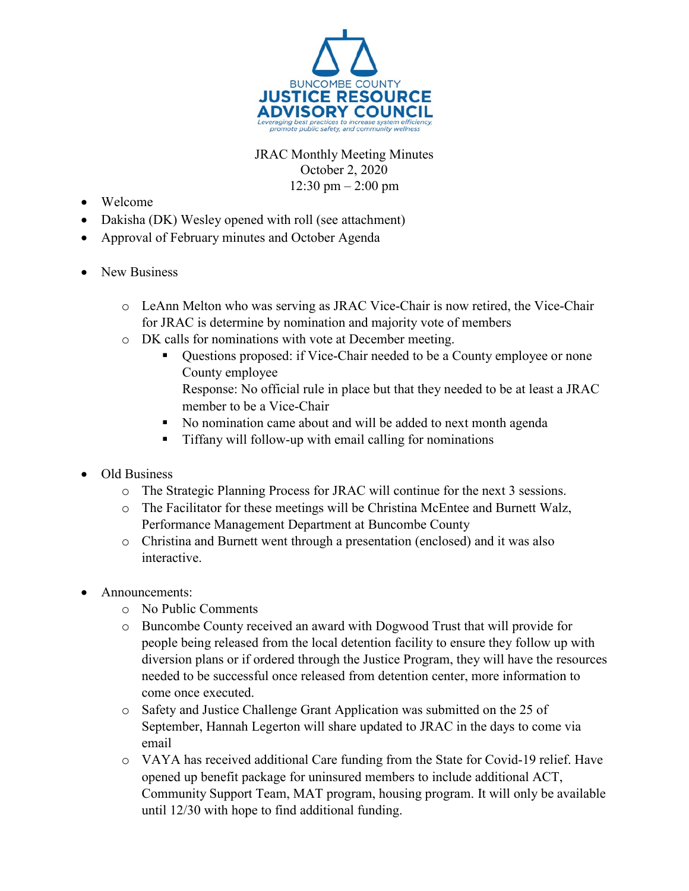

## JRAC Monthly Meeting Minutes October 2, 2020  $12:30 \text{ pm} - 2:00 \text{ pm}$

- Welcome
- Dakisha (DK) Wesley opened with roll (see attachment)
- Approval of February minutes and October Agenda
- New Business
	- o LeAnn Melton who was serving as JRAC Vice-Chair is now retired, the Vice-Chair for JRAC is determine by nomination and majority vote of members
	- o DK calls for nominations with vote at December meeting.
		- Questions proposed: if Vice-Chair needed to be a County employee or none County employee Response: No official rule in place but that they needed to be at least a JRAC member to be a Vice-Chair
		- No nomination came about and will be added to next month agenda
		- Tiffany will follow-up with email calling for nominations
- Old Business
	- o The Strategic Planning Process for JRAC will continue for the next 3 sessions.
	- o The Facilitator for these meetings will be Christina McEntee and Burnett Walz, Performance Management Department at Buncombe County
	- o Christina and Burnett went through a presentation (enclosed) and it was also interactive.
- Announcements:
	- o No Public Comments
	- o Buncombe County received an award with Dogwood Trust that will provide for people being released from the local detention facility to ensure they follow up with diversion plans or if ordered through the Justice Program, they will have the resources needed to be successful once released from detention center, more information to come once executed.
	- o Safety and Justice Challenge Grant Application was submitted on the 25 of September, Hannah Legerton will share updated to JRAC in the days to come via email
	- o VAYA has received additional Care funding from the State for Covid-19 relief. Have opened up benefit package for uninsured members to include additional ACT, Community Support Team, MAT program, housing program. It will only be available until 12/30 with hope to find additional funding.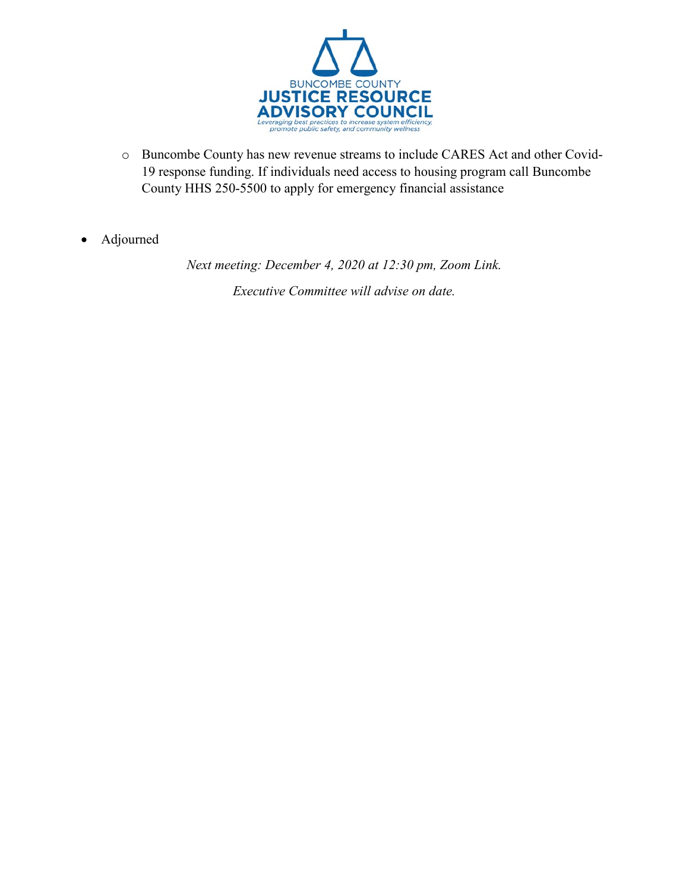

- o Buncombe County has new revenue streams to include CARES Act and other Covid-19 response funding. If individuals need access to housing program call Buncombe County HHS 250-5500 to apply for emergency financial assistance
- Adjourned

*Next meeting: December 4, 2020 at 12:30 pm, Zoom Link. Executive Committee will advise on date.*